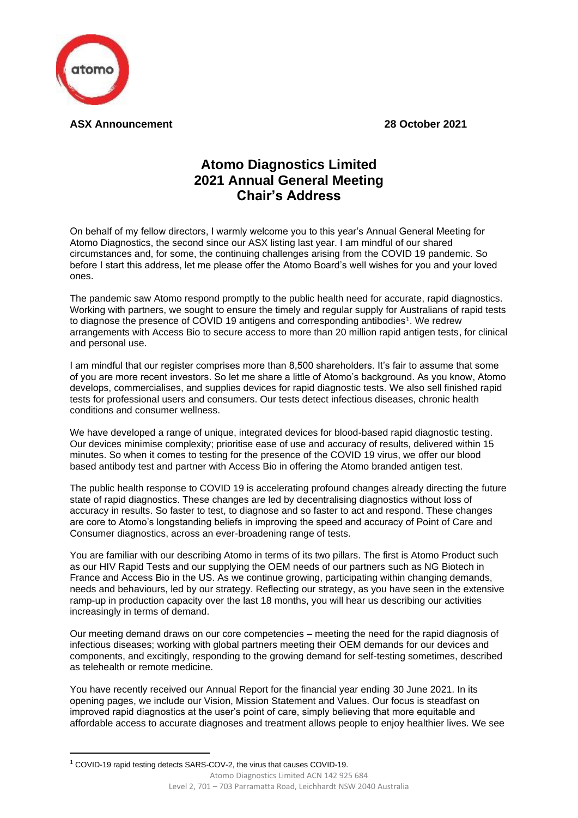

**ASX Announcement 28 October 2021**

## **Atomo Diagnostics Limited 2021 Annual General Meeting Chair's Address**

On behalf of my fellow directors, I warmly welcome you to this year's Annual General Meeting for Atomo Diagnostics, the second since our ASX listing last year. I am mindful of our shared circumstances and, for some, the continuing challenges arising from the COVID 19 pandemic. So before I start this address, let me please offer the Atomo Board's well wishes for you and your loved ones.

The pandemic saw Atomo respond promptly to the public health need for accurate, rapid diagnostics. Working with partners, we sought to ensure the timely and regular supply for Australians of rapid tests to diagnose the presence of COVID 19 antigens and corresponding antibodies<sup>1</sup>. We redrew arrangements with Access Bio to secure access to more than 20 million rapid antigen tests, for clinical and personal use.

I am mindful that our register comprises more than 8,500 shareholders. It's fair to assume that some of you are more recent investors. So let me share a little of Atomo's background. As you know, Atomo develops, commercialises, and supplies devices for rapid diagnostic tests. We also sell finished rapid tests for professional users and consumers. Our tests detect infectious diseases, chronic health conditions and consumer wellness.

We have developed a range of unique, integrated devices for blood-based rapid diagnostic testing. Our devices minimise complexity; prioritise ease of use and accuracy of results, delivered within 15 minutes. So when it comes to testing for the presence of the COVID 19 virus, we offer our blood based antibody test and partner with Access Bio in offering the Atomo branded antigen test.

The public health response to COVID 19 is accelerating profound changes already directing the future state of rapid diagnostics. These changes are led by decentralising diagnostics without loss of accuracy in results. So faster to test, to diagnose and so faster to act and respond. These changes are core to Atomo's longstanding beliefs in improving the speed and accuracy of Point of Care and Consumer diagnostics, across an ever-broadening range of tests.

You are familiar with our describing Atomo in terms of its two pillars. The first is Atomo Product such as our HIV Rapid Tests and our supplying the OEM needs of our partners such as NG Biotech in France and Access Bio in the US. As we continue growing, participating within changing demands, needs and behaviours, led by our strategy. Reflecting our strategy, as you have seen in the extensive ramp-up in production capacity over the last 18 months, you will hear us describing our activities increasingly in terms of demand.

Our meeting demand draws on our core competencies – meeting the need for the rapid diagnosis of infectious diseases; working with global partners meeting their OEM demands for our devices and components, and excitingly, responding to the growing demand for self-testing sometimes, described as telehealth or remote medicine.

You have recently received our Annual Report for the financial year ending 30 June 2021. In its opening pages, we include our Vision, Mission Statement and Values. Our focus is steadfast on improved rapid diagnostics at the user's point of care, simply believing that more equitable and affordable access to accurate diagnoses and treatment allows people to enjoy healthier lives. We see

<sup>1</sup> COVID-19 rapid testing detects SARS-COV-2, the virus that causes COVID-19.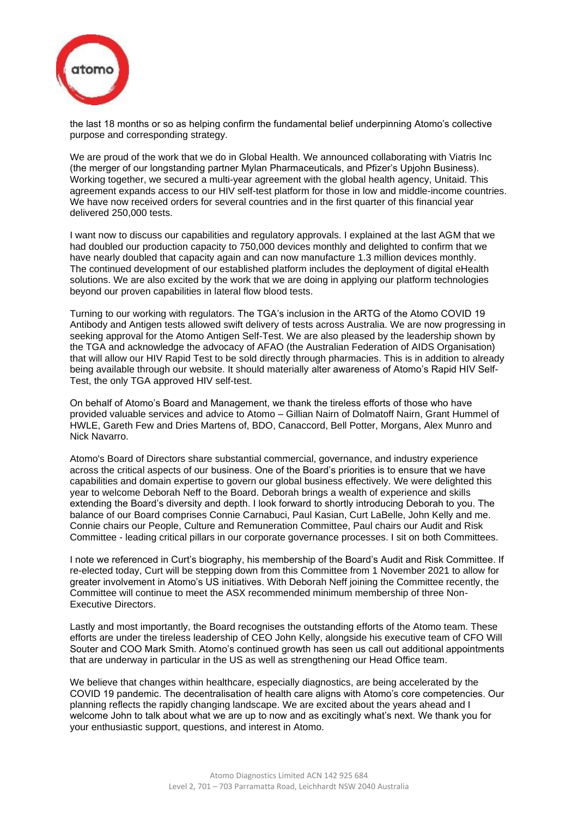

the last 18 months or so as helping confirm the fundamental belief underpinning Atomo's collective purpose and corresponding strategy.

We are proud of the work that we do in Global Health. We announced collaborating with Viatris Inc (the merger of our longstanding partner Mylan Pharmaceuticals, and Pfizer's Upjohn Business). Working together, we secured a multi-year agreement with the global health agency, Unitaid. This agreement expands access to our HIV self-test platform for those in low and middle-income countries. We have now received orders for several countries and in the first quarter of this financial year delivered 250,000 tests.

I want now to discuss our capabilities and regulatory approvals. I explained at the last AGM that we had doubled our production capacity to 750,000 devices monthly and delighted to confirm that we have nearly doubled that capacity again and can now manufacture 1.3 million devices monthly. The continued development of our established platform includes the deployment of digital eHealth solutions. We are also excited by the work that we are doing in applying our platform technologies beyond our proven capabilities in lateral flow blood tests.

Turning to our working with regulators. The TGA's inclusion in the ARTG of the Atomo COVID 19 Antibody and Antigen tests allowed swift delivery of tests across Australia. We are now progressing in seeking approval for the Atomo Antigen Self-Test. We are also pleased by the leadership shown by the TGA and acknowledge the advocacy of AFAO (the Australian Federation of AIDS Organisation) that will allow our HIV Rapid Test to be sold directly through pharmacies. This is in addition to already being available through our website. It should materially alter awareness of Atomo's Rapid HIV Self-Test, the only TGA approved HIV self-test.

On behalf of Atomo's Board and Management, we thank the tireless efforts of those who have provided valuable services and advice to Atomo – Gillian Nairn of Dolmatoff Nairn, Grant Hummel of HWLE, Gareth Few and Dries Martens of, BDO, Canaccord, Bell Potter, Morgans, Alex Munro and Nick Navarro.

Atomo's Board of Directors share substantial commercial, governance, and industry experience across the critical aspects of our business. One of the Board's priorities is to ensure that we have capabilities and domain expertise to govern our global business effectively. We were delighted this year to welcome Deborah Neff to the Board. Deborah brings a wealth of experience and skills extending the Board's diversity and depth. I look forward to shortly introducing Deborah to you. The balance of our Board comprises Connie Carnabuci, Paul Kasian, Curt LaBelle, John Kelly and me. Connie chairs our People, Culture and Remuneration Committee, Paul chairs our Audit and Risk Committee - leading critical pillars in our corporate governance processes. I sit on both Committees.

I note we referenced in Curt's biography, his membership of the Board's Audit and Risk Committee. If re-elected today, Curt will be stepping down from this Committee from 1 November 2021 to allow for greater involvement in Atomo's US initiatives. With Deborah Neff joining the Committee recently, the Committee will continue to meet the ASX recommended minimum membership of three Non-Executive Directors.

Lastly and most importantly, the Board recognises the outstanding efforts of the Atomo team. These efforts are under the tireless leadership of CEO John Kelly, alongside his executive team of CFO Will Souter and COO Mark Smith. Atomo's continued growth has seen us call out additional appointments that are underway in particular in the US as well as strengthening our Head Office team.

We believe that changes within healthcare, especially diagnostics, are being accelerated by the COVID 19 pandemic. The decentralisation of health care aligns with Atomo's core competencies. Our planning reflects the rapidly changing landscape. We are excited about the years ahead and I welcome John to talk about what we are up to now and as excitingly what's next. We thank you for your enthusiastic support, questions, and interest in Atomo.